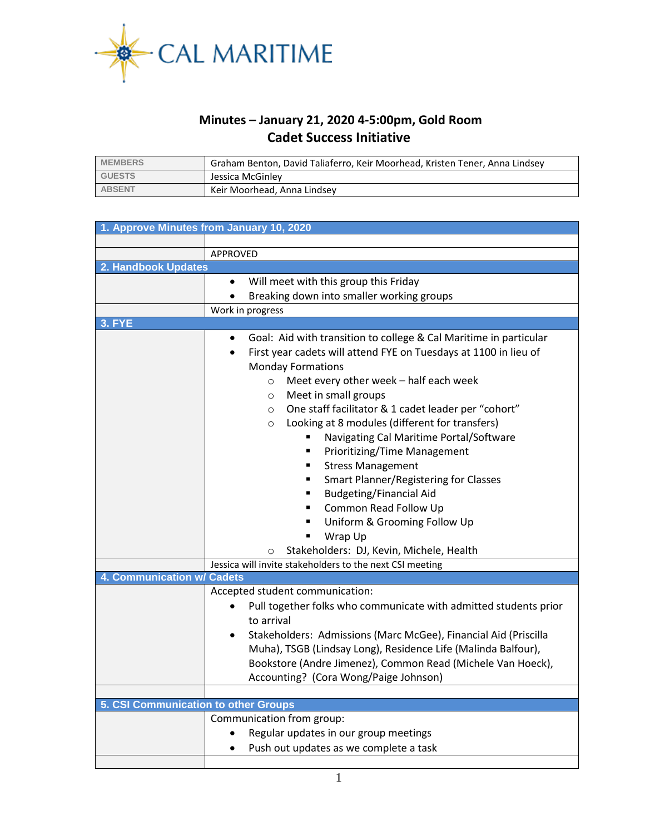

## **Minutes – January 21, 2020 4-5:00pm, Gold Room Cadet Success Initiative**

| <b>MEMBERS</b> | Graham Benton, David Taliaferro, Keir Moorhead, Kristen Tener, Anna Lindsey |  |
|----------------|-----------------------------------------------------------------------------|--|
| <b>GUESTS</b>  | Jessica McGinley                                                            |  |
| <b>ABSENT</b>  | Keir Moorhead, Anna Lindsey                                                 |  |

| 1. Approve Minutes from January 10, 2020 |                                                                               |  |  |  |  |
|------------------------------------------|-------------------------------------------------------------------------------|--|--|--|--|
|                                          |                                                                               |  |  |  |  |
|                                          | APPROVED                                                                      |  |  |  |  |
| 2. Handbook Updates                      |                                                                               |  |  |  |  |
|                                          | Will meet with this group this Friday<br>$\bullet$                            |  |  |  |  |
|                                          | Breaking down into smaller working groups                                     |  |  |  |  |
|                                          | Work in progress                                                              |  |  |  |  |
| <b>3. FYE</b>                            |                                                                               |  |  |  |  |
|                                          | Goal: Aid with transition to college & Cal Maritime in particular<br>٠        |  |  |  |  |
|                                          | First year cadets will attend FYE on Tuesdays at 1100 in lieu of<br>$\bullet$ |  |  |  |  |
|                                          | <b>Monday Formations</b>                                                      |  |  |  |  |
|                                          | Meet every other week - half each week<br>$\circ$                             |  |  |  |  |
|                                          | Meet in small groups<br>$\circ$                                               |  |  |  |  |
|                                          | One staff facilitator & 1 cadet leader per "cohort"<br>$\circ$                |  |  |  |  |
|                                          | Looking at 8 modules (different for transfers)<br>$\circ$                     |  |  |  |  |
|                                          | Navigating Cal Maritime Portal/Software                                       |  |  |  |  |
|                                          | <b>Prioritizing/Time Management</b><br>٠                                      |  |  |  |  |
|                                          | <b>Stress Management</b><br>٠                                                 |  |  |  |  |
|                                          | <b>Smart Planner/Registering for Classes</b><br>٠                             |  |  |  |  |
|                                          | <b>Budgeting/Financial Aid</b><br>$\blacksquare$                              |  |  |  |  |
|                                          | Common Read Follow Up<br>٠                                                    |  |  |  |  |
|                                          | Uniform & Grooming Follow Up<br>٠                                             |  |  |  |  |
|                                          | Wrap Up<br>п                                                                  |  |  |  |  |
|                                          | Stakeholders: DJ, Kevin, Michele, Health<br>O                                 |  |  |  |  |
|                                          | Jessica will invite stakeholders to the next CSI meeting                      |  |  |  |  |
| 4. Communication w/                      | <b>Cadets</b>                                                                 |  |  |  |  |
|                                          | Accepted student communication:                                               |  |  |  |  |
|                                          | Pull together folks who communicate with admitted students prior              |  |  |  |  |
|                                          | to arrival                                                                    |  |  |  |  |
|                                          | Stakeholders: Admissions (Marc McGee), Financial Aid (Priscilla               |  |  |  |  |
|                                          | Muha), TSGB (Lindsay Long), Residence Life (Malinda Balfour),                 |  |  |  |  |
|                                          | Bookstore (Andre Jimenez), Common Read (Michele Van Hoeck),                   |  |  |  |  |
|                                          | Accounting? (Cora Wong/Paige Johnson)                                         |  |  |  |  |
|                                          |                                                                               |  |  |  |  |
| 5. CSI Communication to other Groups     |                                                                               |  |  |  |  |
|                                          | Communication from group:                                                     |  |  |  |  |
|                                          | Regular updates in our group meetings<br>$\bullet$                            |  |  |  |  |
|                                          | Push out updates as we complete a task<br>$\bullet$                           |  |  |  |  |
|                                          |                                                                               |  |  |  |  |